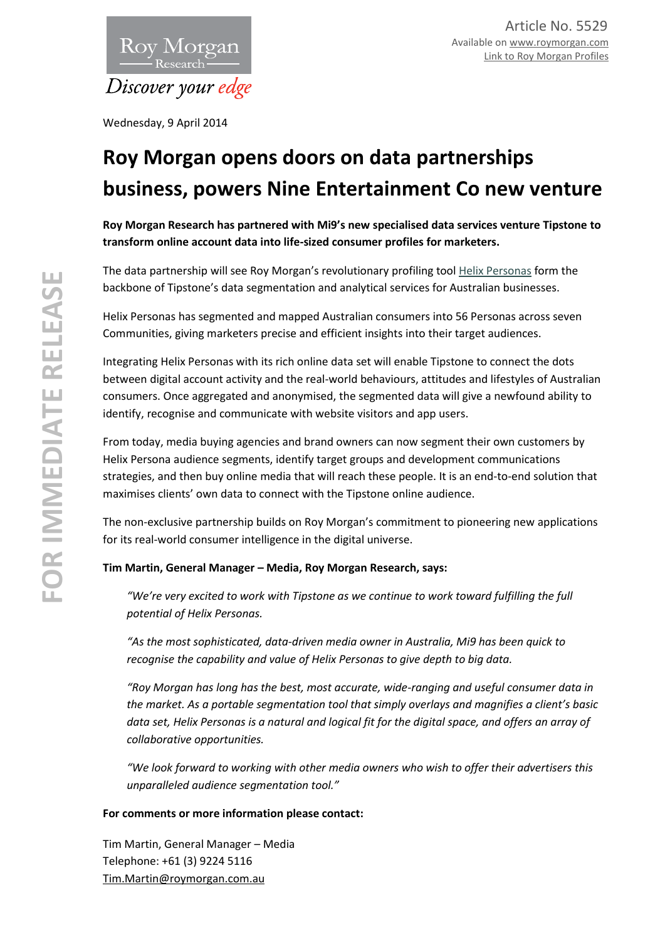

Wednesday, 9 April 2014

## **Roy Morgan opens doors on data partnerships business, powers Nine Entertainment Co new venture**

**Roy Morgan Research has partnered with Mi9's new specialised data services venture Tipstone to transform online account data into life-sized consumer profiles for marketers.** 

The data partnership will see Roy Morgan's revolutionary profiling tool [Helix Personas](http://www.helixpersonas.com.au/) form the backbone of Tipstone's data segmentation and analytical services for Australian businesses.

Helix Personas has segmented and mapped Australian consumers into 56 Personas across seven Communities, giving marketers precise and efficient insights into their target audiences.

Integrating Helix Personas with its rich online data set will enable Tipstone to connect the dots between digital account activity and the real-world behaviours, attitudes and lifestyles of Australian consumers. Once aggregated and anonymised, the segmented data will give a newfound ability to identify, recognise and communicate with website visitors and app users.

From today, media buying agencies and brand owners can now segment their own customers by Helix Persona audience segments, identify target groups and development communications strategies, and then buy online media that will reach these people. It is an end-to-end solution that maximises clients' own data to connect with the Tipstone online audience.

The non-exclusive partnership builds on Roy Morgan's commitment to pioneering new applications for its real-world consumer intelligence in the digital universe.

## **Tim Martin, General Manager – Media, Roy Morgan Research, says:**

*"We're very excited to work with Tipstone as we continue to work toward fulfilling the full potential of Helix Personas.*

*"As the most sophisticated, data-driven media owner in Australia, Mi9 has been quick to recognise the capability and value of Helix Personas to give depth to big data.* 

*"Roy Morgan has long has the best, most accurate, wide-ranging and useful consumer data in the market. As a portable segmentation tool that simply overlays and magnifies a client's basic data set, Helix Personas is a natural and logical fit for the digital space, and offers an array of collaborative opportunities.*

*"We look forward to working with other media owners who wish to offer their advertisers this unparalleled audience segmentation tool."* 

## **For comments or more information please contact:**

Tim Martin, General Manager – Media Telephone: +61 (3) 9224 5116 [Tim.Martin@roymorgan.com.au](mailto:Tim.Martin@roymorgan.com.au)